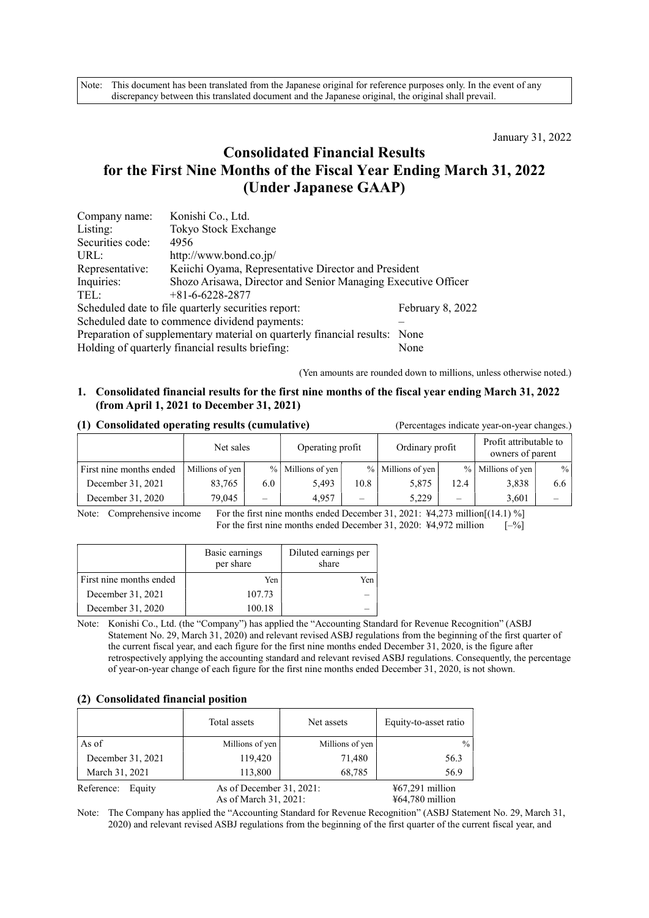Note: This document has been translated from the Japanese original for reference purposes only. In the event of any discrepancy between this translated document and the Japanese original, the original shall prevail.

January 31, 2022

# Consolidated Financial Results for the First Nine Months of the Fiscal Year Ending March 31, 2022 (Under Japanese GAAP)

| Company name:                                                              | Konishi Co., Ltd.                                             |                  |  |  |  |
|----------------------------------------------------------------------------|---------------------------------------------------------------|------------------|--|--|--|
| Listing:                                                                   | Tokyo Stock Exchange                                          |                  |  |  |  |
| Securities code:                                                           | 4956                                                          |                  |  |  |  |
| URL:                                                                       | http://www.bond.co.jp/                                        |                  |  |  |  |
| Representative:                                                            | Keiichi Oyama, Representative Director and President          |                  |  |  |  |
| Inquiries:                                                                 | Shozo Arisawa, Director and Senior Managing Executive Officer |                  |  |  |  |
| TEL:                                                                       | $+81 - 6 - 6228 - 2877$                                       |                  |  |  |  |
|                                                                            | Scheduled date to file quarterly securities report:           | February 8, 2022 |  |  |  |
| Scheduled date to commence dividend payments:                              |                                                               |                  |  |  |  |
| Preparation of supplementary material on quarterly financial results: None |                                                               |                  |  |  |  |
|                                                                            | Holding of quarterly financial results briefing:              | None             |  |  |  |

(Yen amounts are rounded down to millions, unless otherwise noted.)

## 1. Consolidated financial results for the first nine months of the fiscal year ending March 31, 2022 (from April 1, 2021 to December 31, 2021)

### (1) Consolidated operating results (cumulative) (Percentages indicate year-on-year changes.)

|                         | Net sales       |                          | Operating profit      |                          | Ordinary profit     |                          | Profit attributable to<br>owners of parent |      |
|-------------------------|-----------------|--------------------------|-----------------------|--------------------------|---------------------|--------------------------|--------------------------------------------|------|
| First nine months ended | Millions of yen |                          | $%$   Millions of yen |                          | $%$ Millions of yen |                          | $%$ Millions of yen                        | $\%$ |
| December 31, 2021       | 83,765          | 6.0                      | 5.493                 | 10.8                     | 5.875               | 12.4                     | 3,838                                      | 6.6  |
| December 31, 2020       | 79,045          | $\overline{\phantom{0}}$ | 4.957                 | $\overline{\phantom{0}}$ | 5.229               | $\overline{\phantom{a}}$ | 3.601                                      |      |

Note: Comprehensive income For the first nine months ended December 31, 2021: ¥4,273 million[(14.1) %] For the first nine months ended December 31, 2020:  $\frac{14,972 \text{ million}}{200}$  [–%]

|                         | Basic earnings<br>per share | Diluted earnings per<br>share |
|-------------------------|-----------------------------|-------------------------------|
| First nine months ended | Yen                         | Yen                           |
| December 31, 2021       | 107.73                      |                               |
| December 31, 2020       | 100.18                      |                               |

Note: Konishi Co., Ltd. (the "Company") has applied the "Accounting Standard for Revenue Recognition" (ASBJ Statement No. 29, March 31, 2020) and relevant revised ASBJ regulations from the beginning of the first quarter of the current fiscal year, and each figure for the first nine months ended December 31, 2020, is the figure after retrospectively applying the accounting standard and relevant revised ASBJ regulations. Consequently, the percentage of year-on-year change of each figure for the first nine months ended December 31, 2020, is not shown.

#### (2) Consolidated financial position

|                      | Total assets                                         | Net assets      | Equity-to-asset ratio                            |
|----------------------|------------------------------------------------------|-----------------|--------------------------------------------------|
| As of                | Millions of yen                                      | Millions of yen | $\frac{0}{0}$                                    |
| December 31, 2021    | 119,420                                              | 71,480          | 56.3                                             |
| March 31, 2021       | 113,800                                              | 68,785          | 56.9                                             |
| Reference:<br>Equity | As of December $31, 2021$ :<br>As of March 31, 2021: |                 | $\frac{1}{2}67,291$ million<br>$464,780$ million |

Note: The Company has applied the "Accounting Standard for Revenue Recognition" (ASBJ Statement No. 29, March 31, 2020) and relevant revised ASBJ regulations from the beginning of the first quarter of the current fiscal year, and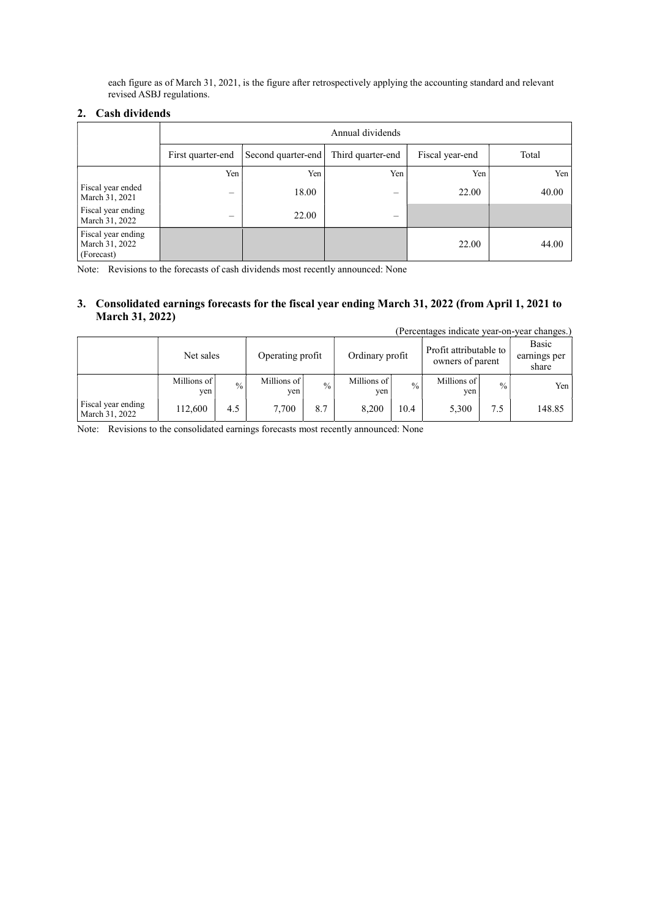each figure as of March 31, 2021, is the figure after retrospectively applying the accounting standard and relevant revised ASBJ regulations.

# 2. Cash dividends

|                                                    | Annual dividends  |                                                                     |                          |       |       |  |  |  |  |
|----------------------------------------------------|-------------------|---------------------------------------------------------------------|--------------------------|-------|-------|--|--|--|--|
|                                                    | First quarter-end | Total<br>Second quarter-end<br>Third quarter-end<br>Fiscal year-end |                          |       |       |  |  |  |  |
|                                                    | Yen               | Yen                                                                 | Yen                      | Yen   | Yen   |  |  |  |  |
| Fiscal year ended<br>March 31, 2021                | -                 | 18.00                                                               | $\overline{\phantom{0}}$ | 22.00 | 40.00 |  |  |  |  |
| Fiscal year ending<br>March 31, 2022               | –                 | 22.00                                                               | –                        |       |       |  |  |  |  |
| Fiscal year ending<br>March 31, 2022<br>(Forecast) |                   |                                                                     |                          | 22.00 | 44.00 |  |  |  |  |

Note: Revisions to the forecasts of cash dividends most recently announced: None

## 3. Consolidated earnings forecasts for the fiscal year ending March 31, 2022 (from April 1, 2021 to March 31, 2022)

|                                      |                               |               |                    |               |                                            |               |                                |               | (Percentages indicate year-on-year changes.) |
|--------------------------------------|-------------------------------|---------------|--------------------|---------------|--------------------------------------------|---------------|--------------------------------|---------------|----------------------------------------------|
|                                      | Operating profit<br>Net sales |               | Ordinary profit    |               | Profit attributable to<br>owners of parent |               | Basic<br>earnings per<br>share |               |                                              |
|                                      | Millions of<br>ven            | $\frac{0}{0}$ | Millions of<br>ven | $\frac{0}{0}$ | Millions of<br>yen                         | $\frac{0}{0}$ | Millions of<br>ven             | $\frac{0}{0}$ | Yen I                                        |
| Fiscal year ending<br>March 31, 2022 | 112,600                       | 4.5           | 7,700              | 8.7           | 8,200                                      | 10.4          | 5,300                          | 7.5           | 148.85                                       |

Note: Revisions to the consolidated earnings forecasts most recently announced: None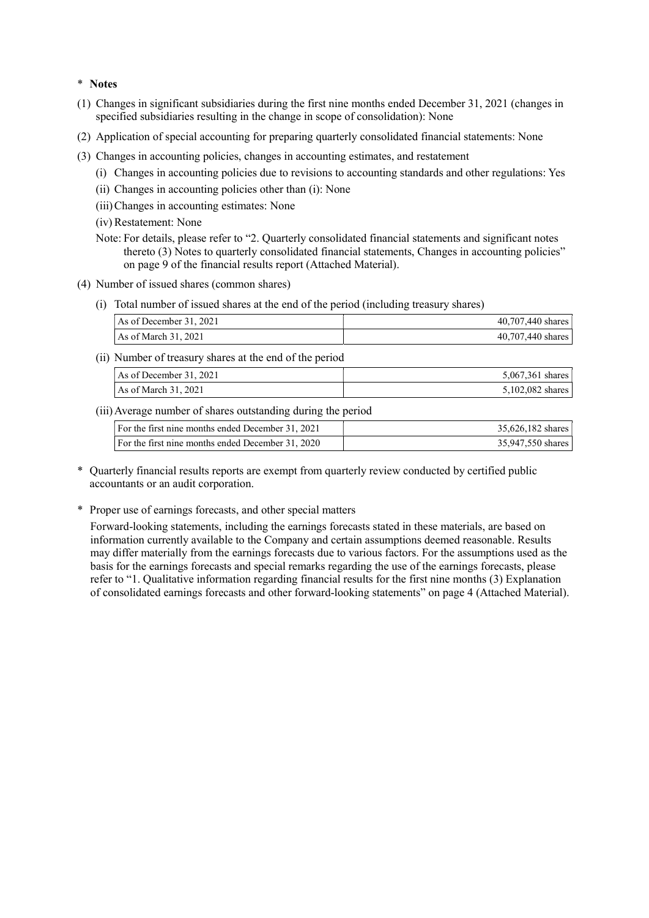#### \* Notes

- (1) Changes in significant subsidiaries during the first nine months ended December 31, 2021 (changes in specified subsidiaries resulting in the change in scope of consolidation): None
- (2) Application of special accounting for preparing quarterly consolidated financial statements: None
- (3) Changes in accounting policies, changes in accounting estimates, and restatement
	- (i) Changes in accounting policies due to revisions to accounting standards and other regulations: Yes
	- (ii) Changes in accounting policies other than (i): None
	- (iii) Changes in accounting estimates: None
	- (iv) Restatement: None
	- Note: For details, please refer to "2. Quarterly consolidated financial statements and significant notes thereto (3) Notes to quarterly consolidated financial statements, Changes in accounting policies" on page 9 of the financial results report (Attached Material).
- (4) Number of issued shares (common shares)
	- (i) Total number of issued shares at the end of the period (including treasury shares)

| As of December 31, 2021 | 40,707,440 shares |
|-------------------------|-------------------|
| As of March $31, 2021$  | 40,707,440 shares |

(ii) Number of treasury shares at the end of the period

| As of December 31, 2021 | 5,067,361 shares |
|-------------------------|------------------|
| As of March 31, 2021    | 5,102,082 shares |

(iii) Average number of shares outstanding during the period

| For the first nine months ended December 31, 2021 | 35,626,182 shares |
|---------------------------------------------------|-------------------|
| For the first nine months ended December 31, 2020 | 35,947,550 shares |

- \* Quarterly financial results reports are exempt from quarterly review conducted by certified public accountants or an audit corporation.
- \* Proper use of earnings forecasts, and other special matters

Forward-looking statements, including the earnings forecasts stated in these materials, are based on information currently available to the Company and certain assumptions deemed reasonable. Results may differ materially from the earnings forecasts due to various factors. For the assumptions used as the basis for the earnings forecasts and special remarks regarding the use of the earnings forecasts, please refer to "1. Qualitative information regarding financial results for the first nine months (3) Explanation of consolidated earnings forecasts and other forward-looking statements" on page 4 (Attached Material).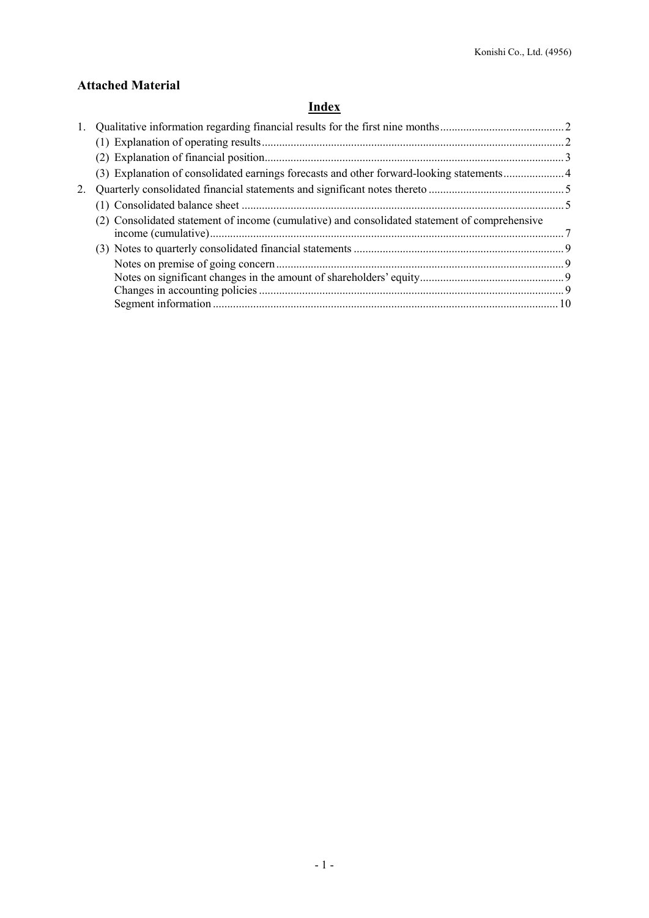# Attached Material

# **Index**

|    | (3) Explanation of consolidated earnings forecasts and other forward-looking statements4      |  |
|----|-----------------------------------------------------------------------------------------------|--|
| 2. |                                                                                               |  |
|    |                                                                                               |  |
|    | (2) Consolidated statement of income (cumulative) and consolidated statement of comprehensive |  |
|    |                                                                                               |  |
|    |                                                                                               |  |
|    |                                                                                               |  |
|    |                                                                                               |  |
|    |                                                                                               |  |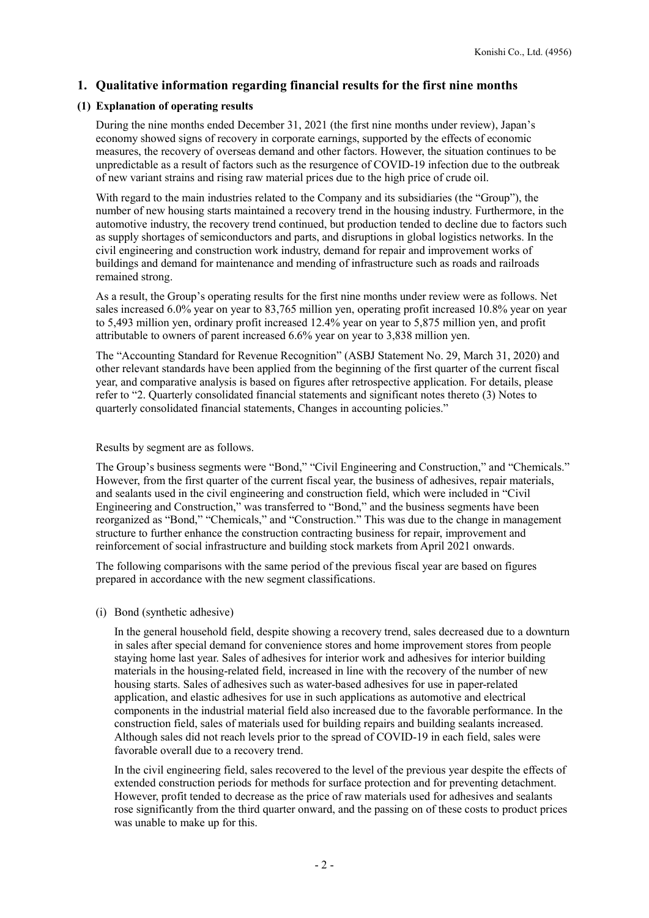# 1. Qualitative information regarding financial results for the first nine months

### (1) Explanation of operating results

During the nine months ended December 31, 2021 (the first nine months under review), Japan's economy showed signs of recovery in corporate earnings, supported by the effects of economic measures, the recovery of overseas demand and other factors. However, the situation continues to be unpredictable as a result of factors such as the resurgence of COVID-19 infection due to the outbreak of new variant strains and rising raw material prices due to the high price of crude oil.

With regard to the main industries related to the Company and its subsidiaries (the "Group"), the number of new housing starts maintained a recovery trend in the housing industry. Furthermore, in the automotive industry, the recovery trend continued, but production tended to decline due to factors such as supply shortages of semiconductors and parts, and disruptions in global logistics networks. In the civil engineering and construction work industry, demand for repair and improvement works of buildings and demand for maintenance and mending of infrastructure such as roads and railroads remained strong.

As a result, the Group's operating results for the first nine months under review were as follows. Net sales increased 6.0% year on year to 83,765 million yen, operating profit increased 10.8% year on year to 5,493 million yen, ordinary profit increased 12.4% year on year to 5,875 million yen, and profit attributable to owners of parent increased 6.6% year on year to 3,838 million yen.

The "Accounting Standard for Revenue Recognition" (ASBJ Statement No. 29, March 31, 2020) and other relevant standards have been applied from the beginning of the first quarter of the current fiscal year, and comparative analysis is based on figures after retrospective application. For details, please refer to "2. Quarterly consolidated financial statements and significant notes thereto (3) Notes to quarterly consolidated financial statements, Changes in accounting policies."

#### Results by segment are as follows.

The Group's business segments were "Bond," "Civil Engineering and Construction," and "Chemicals." However, from the first quarter of the current fiscal year, the business of adhesives, repair materials, and sealants used in the civil engineering and construction field, which were included in "Civil Engineering and Construction," was transferred to "Bond," and the business segments have been reorganized as "Bond," "Chemicals," and "Construction." This was due to the change in management structure to further enhance the construction contracting business for repair, improvement and reinforcement of social infrastructure and building stock markets from April 2021 onwards.

The following comparisons with the same period of the previous fiscal year are based on figures prepared in accordance with the new segment classifications.

(i) Bond (synthetic adhesive)

In the general household field, despite showing a recovery trend, sales decreased due to a downturn in sales after special demand for convenience stores and home improvement stores from people staying home last year. Sales of adhesives for interior work and adhesives for interior building materials in the housing-related field, increased in line with the recovery of the number of new housing starts. Sales of adhesives such as water-based adhesives for use in paper-related application, and elastic adhesives for use in such applications as automotive and electrical components in the industrial material field also increased due to the favorable performance. In the construction field, sales of materials used for building repairs and building sealants increased. Although sales did not reach levels prior to the spread of COVID-19 in each field, sales were favorable overall due to a recovery trend.

In the civil engineering field, sales recovered to the level of the previous year despite the effects of extended construction periods for methods for surface protection and for preventing detachment. However, profit tended to decrease as the price of raw materials used for adhesives and sealants rose significantly from the third quarter onward, and the passing on of these costs to product prices was unable to make up for this.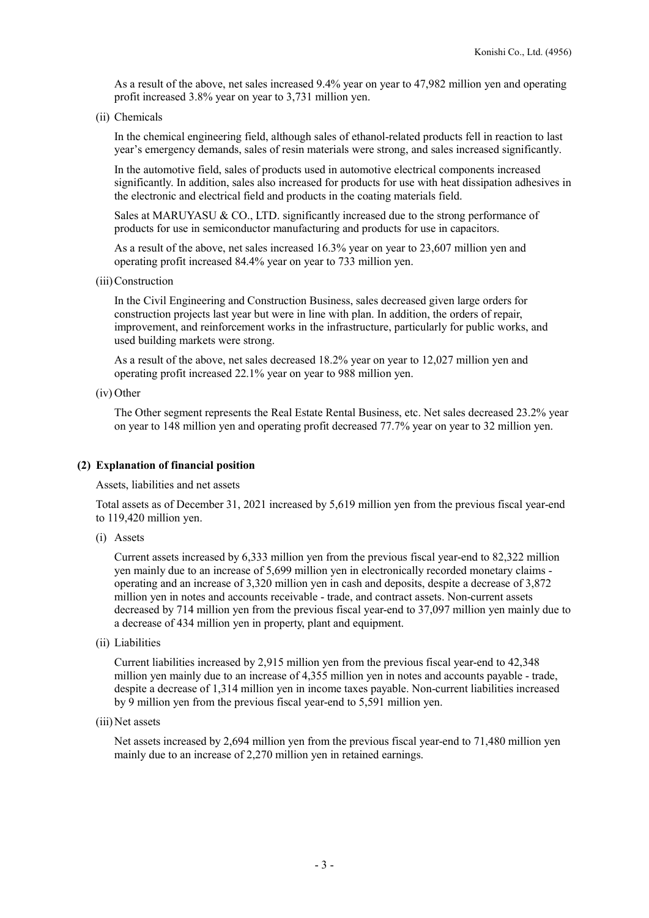As a result of the above, net sales increased 9.4% year on year to 47,982 million yen and operating profit increased 3.8% year on year to 3,731 million yen.

(ii) Chemicals

In the chemical engineering field, although sales of ethanol-related products fell in reaction to last year's emergency demands, sales of resin materials were strong, and sales increased significantly.

In the automotive field, sales of products used in automotive electrical components increased significantly. In addition, sales also increased for products for use with heat dissipation adhesives in the electronic and electrical field and products in the coating materials field.

Sales at MARUYASU & CO., LTD. significantly increased due to the strong performance of products for use in semiconductor manufacturing and products for use in capacitors.

As a result of the above, net sales increased 16.3% year on year to 23,607 million yen and operating profit increased 84.4% year on year to 733 million yen.

(iii) Construction

In the Civil Engineering and Construction Business, sales decreased given large orders for construction projects last year but were in line with plan. In addition, the orders of repair, improvement, and reinforcement works in the infrastructure, particularly for public works, and used building markets were strong.

As a result of the above, net sales decreased 18.2% year on year to 12,027 million yen and operating profit increased 22.1% year on year to 988 million yen.

(iv) Other

The Other segment represents the Real Estate Rental Business, etc. Net sales decreased 23.2% year on year to 148 million yen and operating profit decreased 77.7% year on year to 32 million yen.

## (2) Explanation of financial position

Assets, liabilities and net assets

Total assets as of December 31, 2021 increased by 5,619 million yen from the previous fiscal year-end to 119,420 million yen.

(i) Assets

Current assets increased by 6,333 million yen from the previous fiscal year-end to 82,322 million yen mainly due to an increase of 5,699 million yen in electronically recorded monetary claims operating and an increase of 3,320 million yen in cash and deposits, despite a decrease of 3,872 million yen in notes and accounts receivable - trade, and contract assets. Non-current assets decreased by 714 million yen from the previous fiscal year-end to 37,097 million yen mainly due to a decrease of 434 million yen in property, plant and equipment.

(ii) Liabilities

Current liabilities increased by 2,915 million yen from the previous fiscal year-end to 42,348 million yen mainly due to an increase of 4,355 million yen in notes and accounts payable - trade, despite a decrease of 1,314 million yen in income taxes payable. Non-current liabilities increased by 9 million yen from the previous fiscal year-end to 5,591 million yen.

(iii) Net assets

Net assets increased by 2,694 million yen from the previous fiscal year-end to 71,480 million yen mainly due to an increase of 2,270 million yen in retained earnings.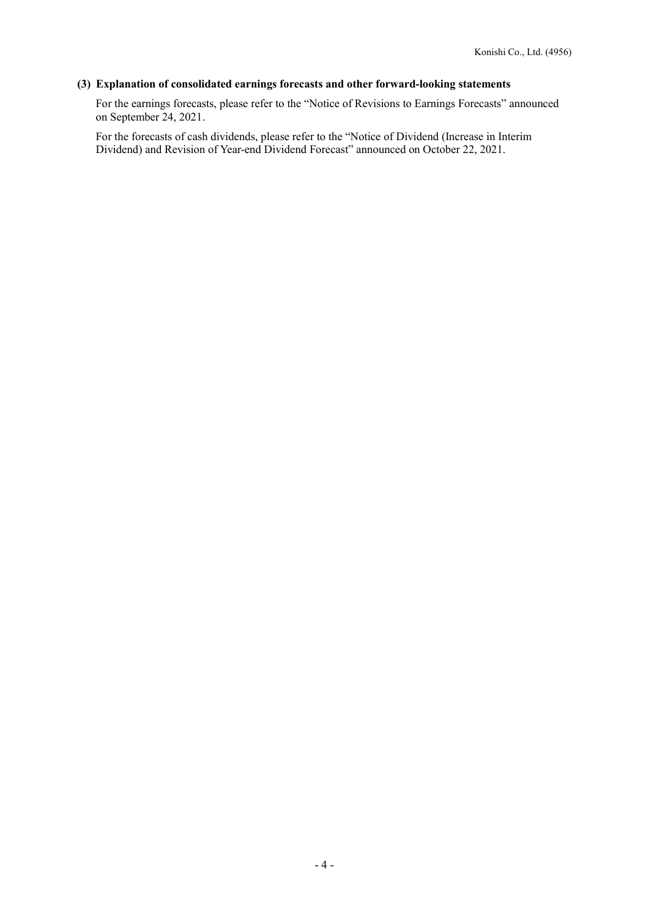# (3) Explanation of consolidated earnings forecasts and other forward-looking statements

For the earnings forecasts, please refer to the "Notice of Revisions to Earnings Forecasts" announced on September 24, 2021.

For the forecasts of cash dividends, please refer to the "Notice of Dividend (Increase in Interim Dividend) and Revision of Year-end Dividend Forecast" announced on October 22, 2021.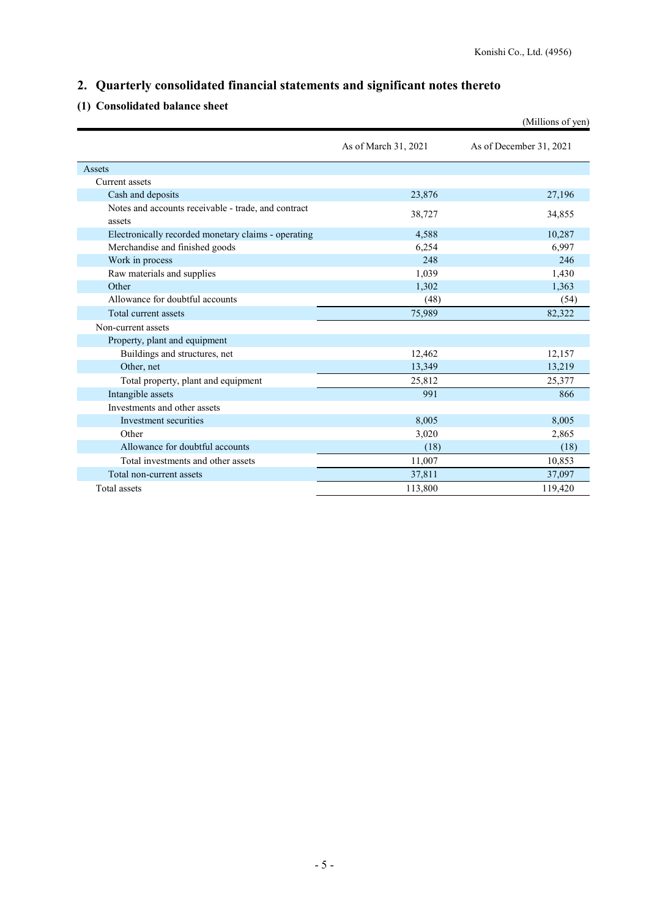# 2. Quarterly consolidated financial statements and significant notes thereto

# (1) Consolidated balance sheet

|                                                               |                      | (Millions of yen)       |
|---------------------------------------------------------------|----------------------|-------------------------|
|                                                               | As of March 31, 2021 | As of December 31, 2021 |
| Assets                                                        |                      |                         |
| Current assets                                                |                      |                         |
| Cash and deposits                                             | 23,876               | 27,196                  |
| Notes and accounts receivable - trade, and contract<br>assets | 38,727               | 34,855                  |
| Electronically recorded monetary claims - operating           | 4,588                | 10,287                  |
| Merchandise and finished goods                                | 6,254                | 6,997                   |
| Work in process                                               | 248                  | 246                     |
| Raw materials and supplies                                    | 1,039                | 1,430                   |
| Other                                                         | 1,302                | 1,363                   |
| Allowance for doubtful accounts                               | (48)                 | (54)                    |
| Total current assets                                          | 75,989               | 82,322                  |
| Non-current assets                                            |                      |                         |
| Property, plant and equipment                                 |                      |                         |
| Buildings and structures, net                                 | 12,462               | 12,157                  |
| Other, net                                                    | 13,349               | 13,219                  |
| Total property, plant and equipment                           | 25,812               | 25,377                  |
| Intangible assets                                             | 991                  | 866                     |
| Investments and other assets                                  |                      |                         |
| Investment securities                                         | 8,005                | 8,005                   |
| Other                                                         | 3,020                | 2,865                   |
| Allowance for doubtful accounts                               | (18)                 | (18)                    |
| Total investments and other assets                            | 11,007               | 10,853                  |
| Total non-current assets                                      | 37,811               | 37,097                  |
| Total assets                                                  | 113,800              | 119,420                 |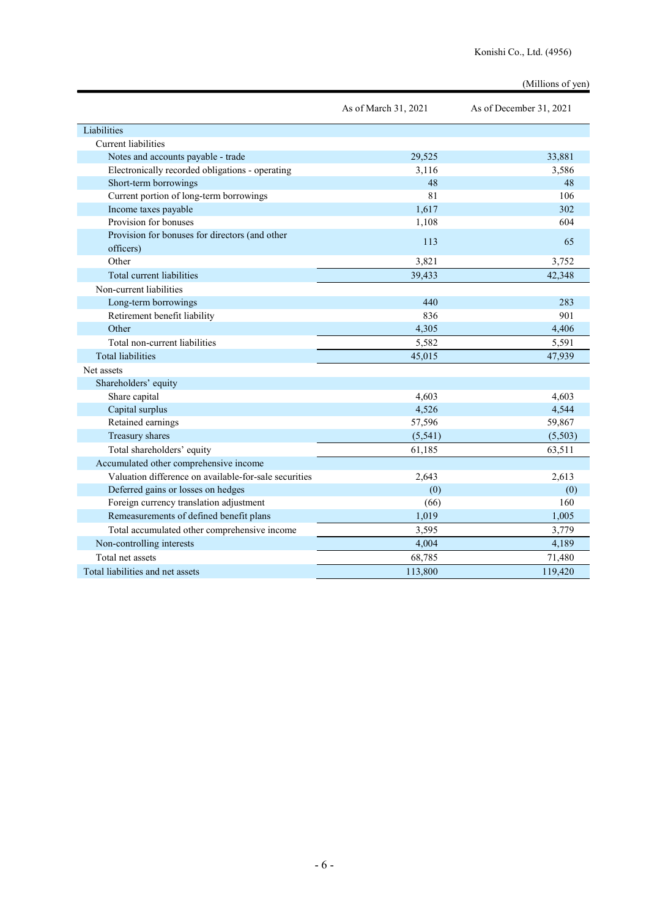# (Millions of yen)

|                                                       | As of March 31, 2021 | As of December 31, 2021 |
|-------------------------------------------------------|----------------------|-------------------------|
| Liabilities                                           |                      |                         |
| Current liabilities                                   |                      |                         |
| Notes and accounts payable - trade                    | 29,525               | 33,881                  |
| Electronically recorded obligations - operating       | 3,116                | 3,586                   |
| Short-term borrowings                                 | 48                   | 48                      |
| Current portion of long-term borrowings               | 81                   | 106                     |
| Income taxes payable                                  | 1,617                | 302                     |
| Provision for bonuses                                 | 1,108                | 604                     |
| Provision for bonuses for directors (and other        | 113                  | 65                      |
| officers)                                             |                      |                         |
| Other                                                 | 3,821                | 3,752                   |
| Total current liabilities                             | 39,433               | 42,348                  |
| Non-current liabilities                               |                      |                         |
| Long-term borrowings                                  | 440                  | 283                     |
| Retirement benefit liability                          | 836                  | 901                     |
| Other                                                 | 4,305                | 4,406                   |
| Total non-current liabilities                         | 5,582                | 5,591                   |
| <b>Total liabilities</b>                              | 45,015               | 47.939                  |
| Net assets                                            |                      |                         |
| Shareholders' equity                                  |                      |                         |
| Share capital                                         | 4,603                | 4,603                   |
| Capital surplus                                       | 4,526                | 4,544                   |
| Retained earnings                                     | 57,596               | 59,867                  |
| Treasury shares                                       | (5, 541)             | (5,503)                 |
| Total shareholders' equity                            | 61,185               | 63,511                  |
| Accumulated other comprehensive income                |                      |                         |
| Valuation difference on available-for-sale securities | 2,643                | 2,613                   |
| Deferred gains or losses on hedges                    | (0)                  | (0)                     |
| Foreign currency translation adjustment               | (66)                 | 160                     |
| Remeasurements of defined benefit plans               | 1,019                | 1,005                   |
| Total accumulated other comprehensive income          | 3,595                | 3,779                   |
| Non-controlling interests                             | 4,004                | 4,189                   |
| Total net assets                                      | 68,785               | 71,480                  |
| Total liabilities and net assets                      | 113,800              | 119,420                 |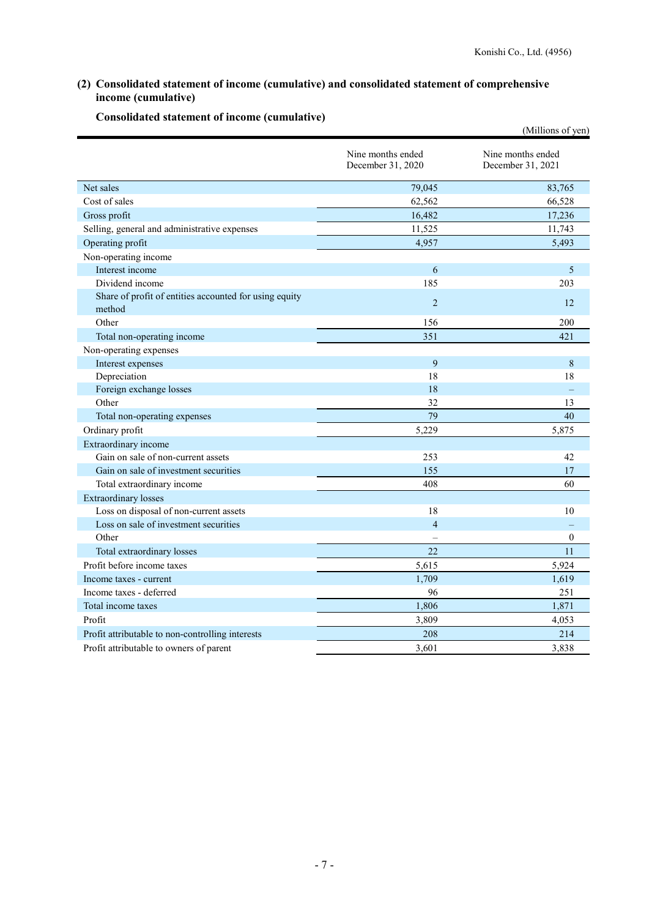# (2) Consolidated statement of income (cumulative) and consolidated statement of comprehensive income (cumulative)

|                                                                  |                                        | (Millions of yen)                      |  |
|------------------------------------------------------------------|----------------------------------------|----------------------------------------|--|
|                                                                  | Nine months ended<br>December 31, 2020 | Nine months ended<br>December 31, 2021 |  |
| Net sales                                                        | 79,045                                 | 83,765                                 |  |
| Cost of sales                                                    | 62,562                                 | 66,528                                 |  |
| Gross profit                                                     | 16,482                                 | 17,236                                 |  |
| Selling, general and administrative expenses                     | 11,525                                 | 11,743                                 |  |
| Operating profit                                                 | 4,957                                  | 5,493                                  |  |
| Non-operating income                                             |                                        |                                        |  |
| Interest income                                                  | 6                                      | 5                                      |  |
| Dividend income                                                  | 185                                    | 203                                    |  |
| Share of profit of entities accounted for using equity<br>method | 2                                      | 12                                     |  |
| Other                                                            | 156                                    | 200                                    |  |
| Total non-operating income                                       | 351                                    | 421                                    |  |
| Non-operating expenses                                           |                                        |                                        |  |
| Interest expenses                                                | 9                                      | 8                                      |  |
| Depreciation                                                     | 18                                     | 18                                     |  |
| Foreign exchange losses                                          | 18                                     |                                        |  |
| Other                                                            | 32                                     | 13                                     |  |
| Total non-operating expenses                                     | 79                                     | 40                                     |  |
| Ordinary profit                                                  | 5,229                                  | 5,875                                  |  |
| Extraordinary income                                             |                                        |                                        |  |
| Gain on sale of non-current assets                               | 253                                    | 42                                     |  |
| Gain on sale of investment securities                            | 155                                    | 17                                     |  |
| Total extraordinary income                                       | 408                                    | 60                                     |  |
| <b>Extraordinary losses</b>                                      |                                        |                                        |  |
| Loss on disposal of non-current assets                           | 18                                     | 10                                     |  |
| Loss on sale of investment securities                            | $\overline{4}$                         |                                        |  |
| Other                                                            |                                        | $\theta$                               |  |
| Total extraordinary losses                                       | 22                                     | 11                                     |  |
| Profit before income taxes                                       | 5,615                                  | 5,924                                  |  |
| Income taxes - current                                           | 1,709                                  | 1,619                                  |  |
| Income taxes - deferred                                          | 96                                     | 251                                    |  |
| Total income taxes                                               | 1,806                                  | 1,871                                  |  |
| Profit                                                           | 3,809                                  | 4,053                                  |  |
| Profit attributable to non-controlling interests                 | 208                                    | 214                                    |  |
| Profit attributable to owners of parent                          | 3,601                                  | 3,838                                  |  |

# Consolidated statement of income (cumulative)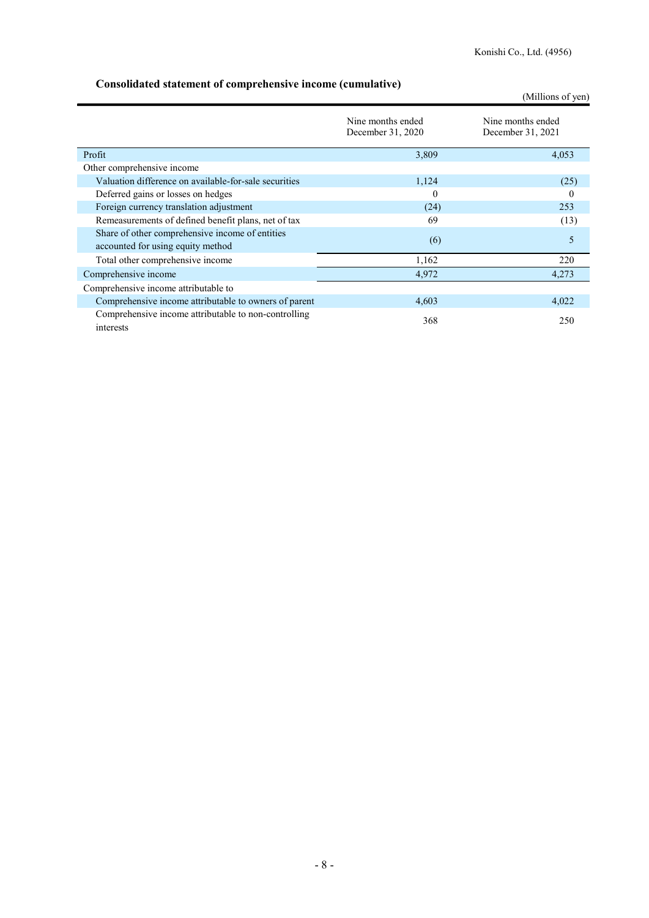# Consolidated statement of comprehensive income (cumulative)

|                                                                                      |                                        | (Millions of yen)                      |  |  |
|--------------------------------------------------------------------------------------|----------------------------------------|----------------------------------------|--|--|
|                                                                                      | Nine months ended<br>December 31, 2020 | Nine months ended<br>December 31, 2021 |  |  |
| Profit                                                                               | 3,809                                  | 4,053                                  |  |  |
| Other comprehensive income                                                           |                                        |                                        |  |  |
| Valuation difference on available-for-sale securities                                | 1,124                                  | (25)                                   |  |  |
| Deferred gains or losses on hedges                                                   | $\theta$                               | 0                                      |  |  |
| Foreign currency translation adjustment                                              | (24)                                   | 253                                    |  |  |
| Remeasurements of defined benefit plans, net of tax                                  | 69                                     | (13)                                   |  |  |
| Share of other comprehensive income of entities<br>accounted for using equity method | (6)                                    | 5                                      |  |  |
| Total other comprehensive income                                                     | 1,162                                  | 220                                    |  |  |
| Comprehensive income                                                                 | 4,972                                  | 4,273                                  |  |  |
| Comprehensive income attributable to                                                 |                                        |                                        |  |  |
| Comprehensive income attributable to owners of parent                                | 4,603                                  | 4,022                                  |  |  |
| Comprehensive income attributable to non-controlling<br>interests                    | 368                                    | 250                                    |  |  |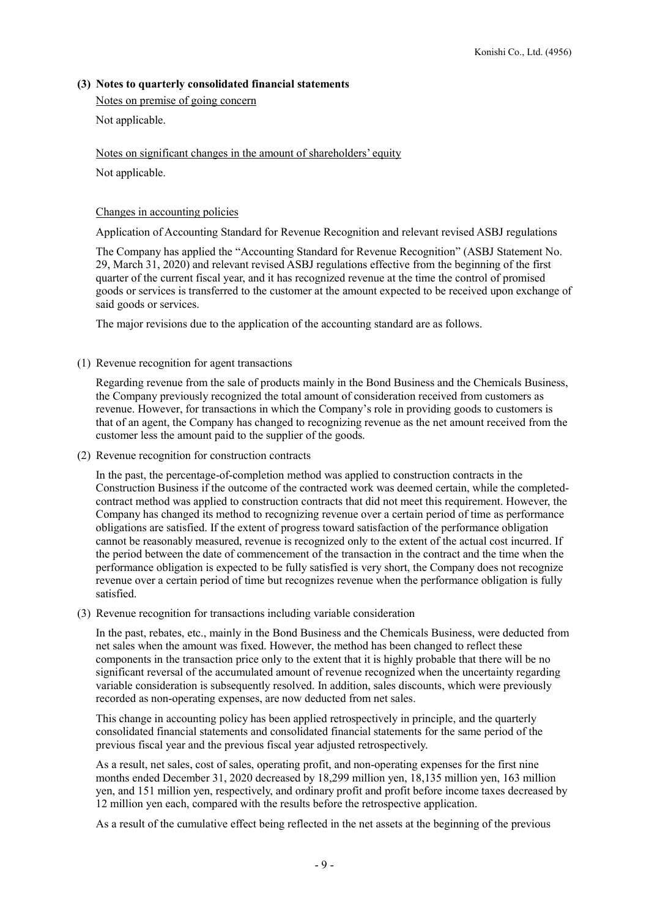## (3) Notes to quarterly consolidated financial statements

Notes on premise of going concern

Not applicable.

Notes on significant changes in the amount of shareholders' equity

Not applicable.

### Changes in accounting policies

Application of Accounting Standard for Revenue Recognition and relevant revised ASBJ regulations

The Company has applied the "Accounting Standard for Revenue Recognition" (ASBJ Statement No. 29, March 31, 2020) and relevant revised ASBJ regulations effective from the beginning of the first quarter of the current fiscal year, and it has recognized revenue at the time the control of promised goods or services is transferred to the customer at the amount expected to be received upon exchange of said goods or services.

The major revisions due to the application of the accounting standard are as follows.

(1) Revenue recognition for agent transactions

Regarding revenue from the sale of products mainly in the Bond Business and the Chemicals Business, the Company previously recognized the total amount of consideration received from customers as revenue. However, for transactions in which the Company's role in providing goods to customers is that of an agent, the Company has changed to recognizing revenue as the net amount received from the customer less the amount paid to the supplier of the goods.

(2) Revenue recognition for construction contracts

In the past, the percentage-of-completion method was applied to construction contracts in the Construction Business if the outcome of the contracted work was deemed certain, while the completedcontract method was applied to construction contracts that did not meet this requirement. However, the Company has changed its method to recognizing revenue over a certain period of time as performance obligations are satisfied. If the extent of progress toward satisfaction of the performance obligation cannot be reasonably measured, revenue is recognized only to the extent of the actual cost incurred. If the period between the date of commencement of the transaction in the contract and the time when the performance obligation is expected to be fully satisfied is very short, the Company does not recognize revenue over a certain period of time but recognizes revenue when the performance obligation is fully satisfied.

(3) Revenue recognition for transactions including variable consideration

In the past, rebates, etc., mainly in the Bond Business and the Chemicals Business, were deducted from net sales when the amount was fixed. However, the method has been changed to reflect these components in the transaction price only to the extent that it is highly probable that there will be no significant reversal of the accumulated amount of revenue recognized when the uncertainty regarding variable consideration is subsequently resolved. In addition, sales discounts, which were previously recorded as non-operating expenses, are now deducted from net sales.

This change in accounting policy has been applied retrospectively in principle, and the quarterly consolidated financial statements and consolidated financial statements for the same period of the previous fiscal year and the previous fiscal year adjusted retrospectively.

As a result, net sales, cost of sales, operating profit, and non-operating expenses for the first nine months ended December 31, 2020 decreased by 18,299 million yen, 18,135 million yen, 163 million yen, and 151 million yen, respectively, and ordinary profit and profit before income taxes decreased by 12 million yen each, compared with the results before the retrospective application.

As a result of the cumulative effect being reflected in the net assets at the beginning of the previous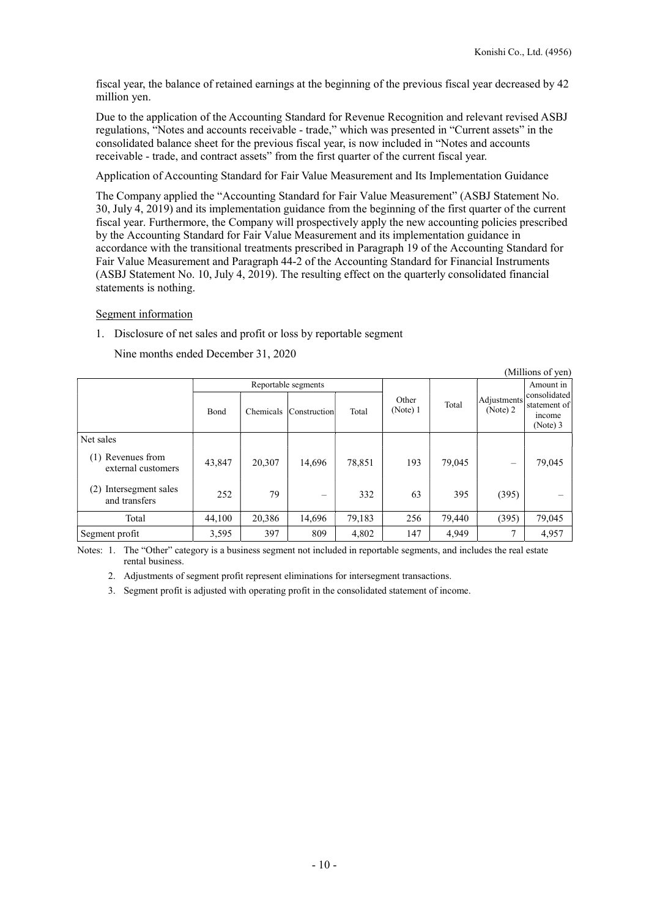$\alpha$  curves of  $\alpha$ 

fiscal year, the balance of retained earnings at the beginning of the previous fiscal year decreased by 42 million yen.

Due to the application of the Accounting Standard for Revenue Recognition and relevant revised ASBJ regulations, "Notes and accounts receivable - trade," which was presented in "Current assets" in the consolidated balance sheet for the previous fiscal year, is now included in "Notes and accounts receivable - trade, and contract assets" from the first quarter of the current fiscal year.

Application of Accounting Standard for Fair Value Measurement and Its Implementation Guidance

The Company applied the "Accounting Standard for Fair Value Measurement" (ASBJ Statement No. 30, July 4, 2019) and its implementation guidance from the beginning of the first quarter of the current fiscal year. Furthermore, the Company will prospectively apply the new accounting policies prescribed by the Accounting Standard for Fair Value Measurement and its implementation guidance in accordance with the transitional treatments prescribed in Paragraph 19 of the Accounting Standard for Fair Value Measurement and Paragraph 44-2 of the Accounting Standard for Financial Instruments (ASBJ Statement No. 10, July 4, 2019). The resulting effect on the quarterly consolidated financial statements is nothing.

### Segment information

1. Disclosure of net sales and profit or loss by reportable segment

Nine months ended December 31, 2020

| (Millions 01 yen)                          |             |           |                     |        |                   |        |                         |                                                             |
|--------------------------------------------|-------------|-----------|---------------------|--------|-------------------|--------|-------------------------|-------------------------------------------------------------|
|                                            |             |           | Reportable segments |        |                   |        | Adjustments<br>(Note) 2 | Amount in                                                   |
|                                            | <b>Bond</b> | Chemicals | Construction        | Total  | Other<br>(Note) 1 | Total  |                         | consolidated<br>statement of<br><i>n</i> come<br>$(Note)$ 3 |
| Net sales                                  |             |           |                     |        |                   |        |                         |                                                             |
| Revenues from<br>(1)<br>external customers | 43,847      | 20,307    | 14,696              | 78,851 | 193               | 79,045 | $\qquad \qquad$         | 79,045                                                      |
| (2)<br>Intersegment sales<br>and transfers | 252         | 79        |                     | 332    | 63                | 395    | (395)                   |                                                             |
| Total                                      | 44,100      | 20,386    | 14,696              | 79,183 | 256               | 79,440 | (395)                   | 79,045                                                      |
| Segment profit                             | 3,595       | 397       | 809                 | 4,802  | 147               | 4,949  | 7                       | 4,957                                                       |

Notes: 1. The "Other" category is a business segment not included in reportable segments, and includes the real estate rental business.

2. Adjustments of segment profit represent eliminations for intersegment transactions.

3. Segment profit is adjusted with operating profit in the consolidated statement of income.